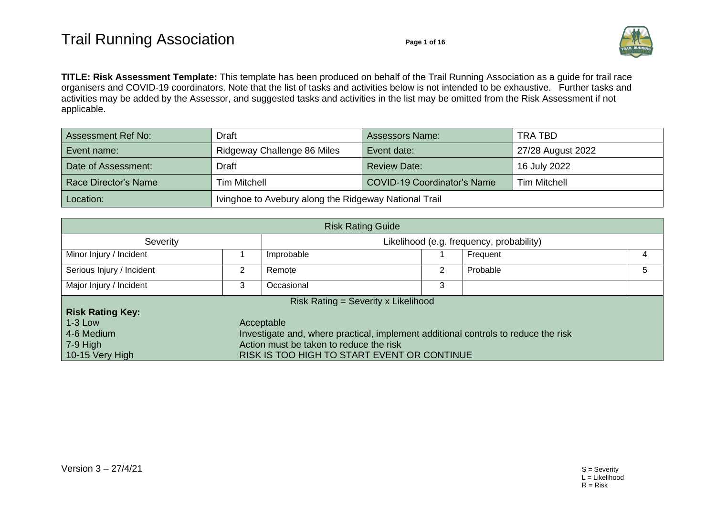

**TITLE: Risk Assessment Template:** This template has been produced on behalf of the Trail Running Association as a guide for trail race organisers and COVID-19 coordinators. Note that the list of tasks and activities below is not intended to be exhaustive. Further tasks and activities may be added by the Assessor, and suggested tasks and activities in the list may be omitted from the Risk Assessment if not applicable.

| Assessment Ref No:   | <b>Draft</b>                | <b>Assessors Name:</b>                                | TRA TBD             |  |  |  |
|----------------------|-----------------------------|-------------------------------------------------------|---------------------|--|--|--|
| Event name:          | Ridgeway Challenge 86 Miles | Event date:                                           | 27/28 August 2022   |  |  |  |
| Date of Assessment:  | <b>Draft</b>                | <b>Review Date:</b>                                   | 16 July 2022        |  |  |  |
| Race Director's Name | <b>Tim Mitchell</b>         | <b>COVID-19 Coordinator's Name</b>                    | <b>Tim Mitchell</b> |  |  |  |
| Location:            |                             | Ivinghoe to Avebury along the Ridgeway National Trail |                     |  |  |  |

| <b>Risk Rating Guide</b>                                 |                                                                                                                                                                                                                       |                                          |   |          |   |  |  |  |
|----------------------------------------------------------|-----------------------------------------------------------------------------------------------------------------------------------------------------------------------------------------------------------------------|------------------------------------------|---|----------|---|--|--|--|
| Severity                                                 |                                                                                                                                                                                                                       | Likelihood (e.g. frequency, probability) |   |          |   |  |  |  |
| Minor Injury / Incident                                  |                                                                                                                                                                                                                       | Improbable                               |   | Frequent |   |  |  |  |
| Serious Injury / Incident                                | 2                                                                                                                                                                                                                     | Remote                                   | 2 | Probable | 5 |  |  |  |
| Major Injury / Incident                                  | 3                                                                                                                                                                                                                     | Occasional                               | 3 |          |   |  |  |  |
|                                                          |                                                                                                                                                                                                                       | Risk Rating = Severity x Likelihood      |   |          |   |  |  |  |
| $1-3$ Low<br>4-6 Medium<br>$7-9$ High<br>10-15 Very High | <b>Risk Rating Key:</b><br>Acceptable<br>Investigate and, where practical, implement additional controls to reduce the risk<br>Action must be taken to reduce the risk<br>RISK IS TOO HIGH TO START EVENT OR CONTINUE |                                          |   |          |   |  |  |  |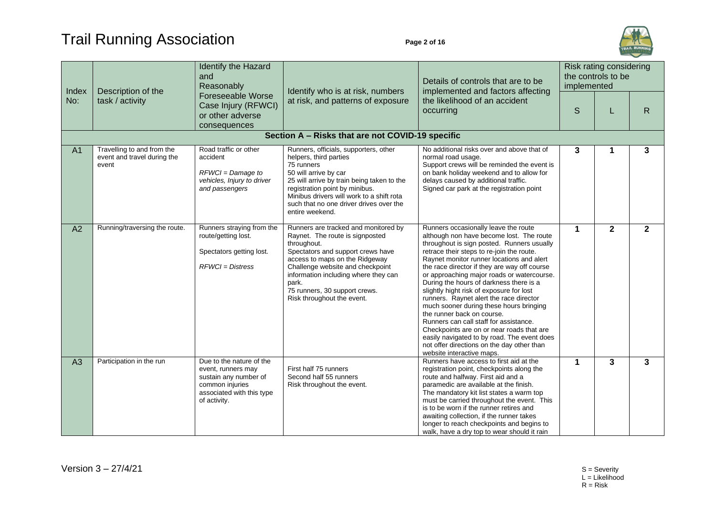# Trail Running Association **Page 2 of 16**



| Index          | Description of the<br>task / activity                              | Identify the Hazard<br>and<br>Reasonably<br>Foreseeable Worse<br>Case Injury (RFWCI)<br>or other adverse<br>consequences                | Identify who is at risk, numbers<br>at risk, and patterns of exposure                                                                                                                                                                                                                                             | Details of controls that are to be<br>implemented and factors affecting                                                                                                                                                                                                                                                                                                                                                                                                                                                                                                                                                                                                                                                                            | Risk rating considering<br>the controls to be<br>implemented |              |              |  |  |  |  |
|----------------|--------------------------------------------------------------------|-----------------------------------------------------------------------------------------------------------------------------------------|-------------------------------------------------------------------------------------------------------------------------------------------------------------------------------------------------------------------------------------------------------------------------------------------------------------------|----------------------------------------------------------------------------------------------------------------------------------------------------------------------------------------------------------------------------------------------------------------------------------------------------------------------------------------------------------------------------------------------------------------------------------------------------------------------------------------------------------------------------------------------------------------------------------------------------------------------------------------------------------------------------------------------------------------------------------------------------|--------------------------------------------------------------|--------------|--------------|--|--|--|--|
| No:            |                                                                    |                                                                                                                                         |                                                                                                                                                                                                                                                                                                                   | the likelihood of an accident<br>occurring                                                                                                                                                                                                                                                                                                                                                                                                                                                                                                                                                                                                                                                                                                         | S                                                            | L            | $\mathsf{R}$ |  |  |  |  |
|                | Section A - Risks that are not COVID-19 specific                   |                                                                                                                                         |                                                                                                                                                                                                                                                                                                                   |                                                                                                                                                                                                                                                                                                                                                                                                                                                                                                                                                                                                                                                                                                                                                    |                                                              |              |              |  |  |  |  |
| A <sub>1</sub> | Travelling to and from the<br>event and travel during the<br>event | Road traffic or other<br>accident<br>RFWCI = Damage to<br>vehicles, Injury to driver<br>and passengers                                  | Runners, officials, supporters, other<br>helpers, third parties<br>75 runners<br>50 will arrive by car<br>25 will arrive by train being taken to the<br>registration point by minibus.<br>Minibus drivers will work to a shift rota<br>such that no one driver drives over the<br>entire weekend.                 | No additional risks over and above that of<br>normal road usage.<br>Support crews will be reminded the event is<br>on bank holiday weekend and to allow for<br>delays caused by additional traffic.<br>Signed car park at the registration point                                                                                                                                                                                                                                                                                                                                                                                                                                                                                                   | 3                                                            |              | 3            |  |  |  |  |
| A2             | Running/traversing the route.                                      | Runners straying from the<br>route/getting lost.<br>Spectators getting lost.<br>$RFWCI = Distress$                                      | Runners are tracked and monitored by<br>Raynet. The route is signposted<br>throughout.<br>Spectators and support crews have<br>access to maps on the Ridgeway<br>Challenge website and checkpoint<br>information including where they can<br>park.<br>75 runners, 30 support crews.<br>Risk throughout the event. | Runners occasionally leave the route<br>although non have become lost. The route<br>throughout is sign posted. Runners usually<br>retrace their steps to re-join the route.<br>Raynet monitor runner locations and alert<br>the race director if they are way off course<br>or approaching major roads or watercourse.<br>During the hours of darkness there is a<br>slightly hight risk of exposure for lost<br>runners. Raynet alert the race director<br>much sooner during these hours bringing<br>the runner back on course.<br>Runners can call staff for assistance.<br>Checkpoints are on or near roads that are<br>easily navigated to by road. The event does<br>not offer directions on the day other than<br>website interactive maps. | 1                                                            | $\mathbf{2}$ | $\mathbf{2}$ |  |  |  |  |
| A3             | Participation in the run                                           | Due to the nature of the<br>event, runners may<br>sustain any number of<br>common injuries<br>associated with this type<br>of activity. | First half 75 runners<br>Second half 55 runners<br>Risk throughout the event.                                                                                                                                                                                                                                     | Runners have access to first aid at the<br>registration point, checkpoints along the<br>route and halfway. First aid and a<br>paramedic are available at the finish.<br>The mandatory kit list states a warm top<br>must be carried throughout the event. This<br>is to be worn if the runner retires and<br>awaiting collection, if the runner takes<br>longer to reach checkpoints and begins to<br>walk, have a dry top to wear should it rain                                                                                                                                                                                                                                                                                                  | 1                                                            | 3            | 3            |  |  |  |  |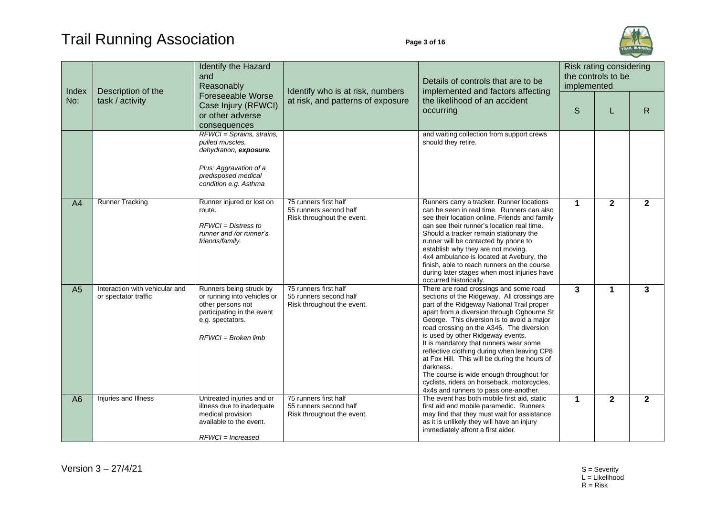

|                | Description of the                                     | Identify the Hazard<br>and<br>Reasonably<br>Foreseeable Worse<br>Case Injury (RFWCI)<br>or other adverse<br>consequences                               | Identify who is at risk, numbers<br>at risk, and patterns of exposure         | Details of controls that are to be<br>implemented and factors affecting                                                                                                                                                                                                                                                                                                                                                                                                                                                                                                                                     | Risk rating considering<br>the controls to be<br>implemented |              |                |
|----------------|--------------------------------------------------------|--------------------------------------------------------------------------------------------------------------------------------------------------------|-------------------------------------------------------------------------------|-------------------------------------------------------------------------------------------------------------------------------------------------------------------------------------------------------------------------------------------------------------------------------------------------------------------------------------------------------------------------------------------------------------------------------------------------------------------------------------------------------------------------------------------------------------------------------------------------------------|--------------------------------------------------------------|--------------|----------------|
| Index<br>No:   | task / activity                                        |                                                                                                                                                        |                                                                               | the likelihood of an accident<br>occurring                                                                                                                                                                                                                                                                                                                                                                                                                                                                                                                                                                  | S                                                            | L            | R              |
|                |                                                        | RFWCI = Sprains, strains,<br>pulled muscles.<br>dehydration, exposure.<br>Plus: Aggravation of a<br>predisposed medical<br>condition e.g. Asthma       |                                                                               | and waiting collection from support crews<br>should they retire.                                                                                                                                                                                                                                                                                                                                                                                                                                                                                                                                            |                                                              |              |                |
| A <sub>4</sub> | <b>Runner Tracking</b>                                 | Runner injured or lost on<br>route.<br>$RFWCI = Distress to$<br>runner and /or runner's<br>friends/family.                                             | 75 runners first half<br>55 runners second half<br>Risk throughout the event. | Runners carry a tracker. Runner locations<br>can be seen in real time. Runners can also<br>see their location online. Friends and family<br>can see their runner's location real time.<br>Should a tracker remain stationary the<br>runner will be contacted by phone to<br>establish why they are not moving.<br>4x4 ambulance is located at Avebury, the<br>finish, able to reach runners on the course<br>during later stages when most injuries have<br>occurred historically.                                                                                                                          | 1                                                            | $\mathbf{2}$ | $\mathbf{2}$   |
| A <sub>5</sub> | Interaction with vehicular and<br>or spectator traffic | Runners being struck by<br>or running into vehicles or<br>other persons not<br>participating in the event<br>e.g. spectators.<br>$RFWCI = Broken$ limb | 75 runners first half<br>55 runners second half<br>Risk throughout the event. | There are road crossings and some road<br>sections of the Ridgeway. All crossings are<br>part of the Ridgeway National Trail proper<br>apart from a diversion through Ogbourne St<br>George. This diversion is to avoid a major<br>road crossing on the A346. The diversion<br>is used by other Ridgeway events.<br>It is mandatory that runners wear some<br>reflective clothing during when leaving CP8<br>at Fox Hill. This will be during the hours of<br>darkness.<br>The course is wide enough throughout for<br>cyclists, riders on horseback, motorcycles,<br>4x4s and runners to pass one-another. | $\mathbf{3}$                                                 | $\mathbf 1$  | 3              |
| A6             | Injuries and Illness                                   | Untreated injuries and or<br>illness due to inadequate<br>medical provision<br>available to the event.<br>$RFWCI = Increase$                           | 75 runners first half<br>55 runners second half<br>Risk throughout the event. | The event has both mobile first aid, static<br>first aid and mobile paramedic. Runners<br>may find that they must wait for assistance<br>as it is unlikely they will have an injury<br>immediately afront a first aider.                                                                                                                                                                                                                                                                                                                                                                                    | 1                                                            | $\mathbf{2}$ | $\overline{2}$ |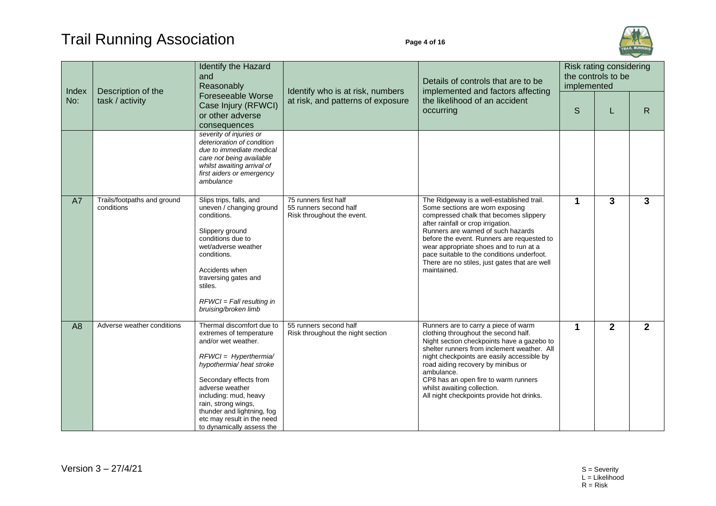

| Index          | and<br>Description of the<br>task / activity | Identify the Hazard<br>Reasonably                                                                                                                                                                                                                                                                                        | Identify who is at risk, numbers<br>at risk, and patterns of exposure         | Details of controls that are to be<br>implemented and factors affecting                                                                                                                                                                                                                                                                                                                                  | Risk rating considering<br>the controls to be<br>implemented |                |                |
|----------------|----------------------------------------------|--------------------------------------------------------------------------------------------------------------------------------------------------------------------------------------------------------------------------------------------------------------------------------------------------------------------------|-------------------------------------------------------------------------------|----------------------------------------------------------------------------------------------------------------------------------------------------------------------------------------------------------------------------------------------------------------------------------------------------------------------------------------------------------------------------------------------------------|--------------------------------------------------------------|----------------|----------------|
| No:            |                                              | <b>Foreseeable Worse</b><br>Case Injury (RFWCI)<br>or other adverse<br>consequences                                                                                                                                                                                                                                      |                                                                               | the likelihood of an accident<br>occurring                                                                                                                                                                                                                                                                                                                                                               | S                                                            | L              | R.             |
|                |                                              | severity of injuries or<br>deterioration of condition<br>due to immediate medical<br>care not being available<br>whilst awaiting arrival of<br>first aiders or emergency<br>ambulance                                                                                                                                    |                                                                               |                                                                                                                                                                                                                                                                                                                                                                                                          |                                                              |                |                |
| A7             | Trails/footpaths and ground<br>conditions    | Slips trips, falls, and<br>uneven / changing ground<br>conditions.<br>Slippery ground<br>conditions due to<br>wet/adverse weather<br>conditions.<br>Accidents when<br>traversing gates and<br>stiles.<br>$RFWCI = Fall resulting in$<br>bruising/broken limb                                                             | 75 runners first half<br>55 runners second half<br>Risk throughout the event. | The Ridgeway is a well-established trail.<br>Some sections are worn exposing<br>compressed chalk that becomes slippery<br>after rainfall or crop irrigation.<br>Runners are warned of such hazards<br>before the event. Runners are requested to<br>wear appropriate shoes and to run at a<br>pace suitable to the conditions underfoot.<br>There are no stiles, just gates that are well<br>maintained. | 1                                                            | 3              | $\mathbf{3}$   |
| A <sub>8</sub> | Adverse weather conditions                   | Thermal discomfort due to<br>extremes of temperature<br>and/or wet weather.<br>$RFWCI = Hyperthermia/$<br>hypothermia/ heat stroke<br>Secondary effects from<br>adverse weather<br>including: mud, heavy<br>rain, strong wings,<br>thunder and lightning, fog<br>etc may result in the need<br>to dynamically assess the | 55 runners second half<br>Risk throughout the night section                   | Runners are to carry a piece of warm<br>clothing throughout the second half.<br>Night section checkpoints have a gazebo to<br>shelter runners from inclement weather. All<br>night checkpoints are easily accessible by<br>road aiding recovery by minibus or<br>ambulance.<br>CP8 has an open fire to warm runners<br>whilst awaiting collection.<br>All night checkpoints provide hot drinks.          | 1                                                            | $\overline{2}$ | $\overline{2}$ |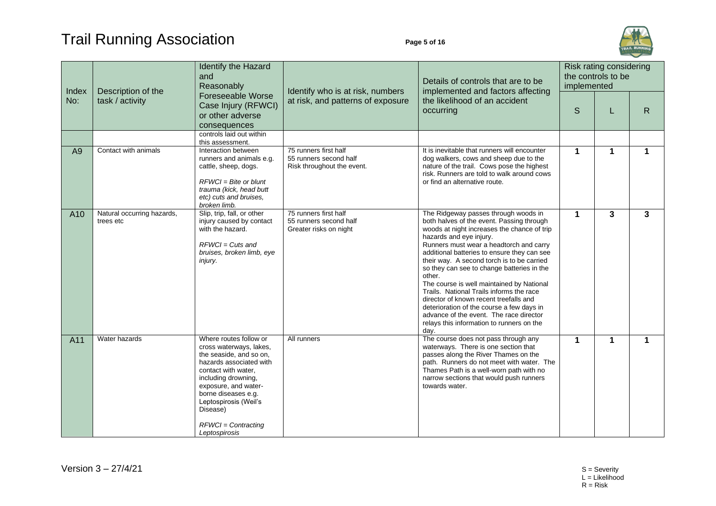

| Index           | Description of the                      | Identify the Hazard<br>and<br>Reasonably<br>Foreseeable Worse<br>Case Injury (RFWCI)<br>or other adverse<br>consequences                                                                                                                                                            | Identify who is at risk, numbers<br>at risk, and patterns of exposure         | Details of controls that are to be<br>implemented and factors affecting<br>the likelihood of an accident<br>occurring                                                                                                                                                                                                                                                                                                                                                                                                                                                                                                                       | Risk rating considering<br>the controls to be<br>implemented |                         |             |
|-----------------|-----------------------------------------|-------------------------------------------------------------------------------------------------------------------------------------------------------------------------------------------------------------------------------------------------------------------------------------|-------------------------------------------------------------------------------|---------------------------------------------------------------------------------------------------------------------------------------------------------------------------------------------------------------------------------------------------------------------------------------------------------------------------------------------------------------------------------------------------------------------------------------------------------------------------------------------------------------------------------------------------------------------------------------------------------------------------------------------|--------------------------------------------------------------|-------------------------|-------------|
| No:             | task / activity                         |                                                                                                                                                                                                                                                                                     |                                                                               |                                                                                                                                                                                                                                                                                                                                                                                                                                                                                                                                                                                                                                             | S                                                            | L                       | R           |
|                 |                                         | controls laid out within<br>this assessment.                                                                                                                                                                                                                                        |                                                                               |                                                                                                                                                                                                                                                                                                                                                                                                                                                                                                                                                                                                                                             |                                                              |                         |             |
| A <sub>9</sub>  | Contact with animals                    | Interaction between<br>runners and animals e.g.<br>cattle, sheep, dogs.<br>$RFWCI = Bite$ or blunt<br>trauma (kick, head butt<br>etc) cuts and bruises,<br>broken limb.                                                                                                             | 75 runners first half<br>55 runners second half<br>Risk throughout the event. | It is inevitable that runners will encounter<br>dog walkers, cows and sheep due to the<br>nature of the trail. Cows pose the highest<br>risk. Runners are told to walk around cows<br>or find an alternative route.                                                                                                                                                                                                                                                                                                                                                                                                                         | 1                                                            | $\mathbf 1$             | 1           |
| A <sub>10</sub> | Natural occurring hazards,<br>trees etc | Slip, trip, fall, or other<br>injury caused by contact<br>with the hazard.<br>$RFWCI = Cuts$ and<br>bruises, broken limb, eye<br>injury.                                                                                                                                            | 75 runners first half<br>55 runners second half<br>Greater risks on night     | The Ridgeway passes through woods in<br>both halves of the event. Passing through<br>woods at night increases the chance of trip<br>hazards and eye injury.<br>Runners must wear a headtorch and carry<br>additional batteries to ensure they can see<br>their way. A second torch is to be carried<br>so they can see to change batteries in the<br>other.<br>The course is well maintained by National<br>Trails. National Trails informs the race<br>director of known recent treefalls and<br>deterioration of the course a few days in<br>advance of the event. The race director<br>relays this information to runners on the<br>day. | 1                                                            | $\overline{\mathbf{3}}$ | 3           |
| A11             | Water hazards                           | Where routes follow or<br>cross waterways, lakes,<br>the seaside, and so on,<br>hazards associated with<br>contact with water,<br>including drowning,<br>exposure, and water-<br>borne diseases e.g.<br>Leptospirosis (Weil's<br>Disease)<br>$RFWCI = Contracting$<br>Leptospirosis | All runners                                                                   | The course does not pass through any<br>waterways. There is one section that<br>passes along the River Thames on the<br>path. Runners do not meet with water. The<br>Thames Path is a well-worn path with no<br>narrow sections that would push runners<br>towards water.                                                                                                                                                                                                                                                                                                                                                                   | 1                                                            | $\mathbf{1}$            | $\mathbf 1$ |

 $Version 3 - 27/4/21$  S = Severity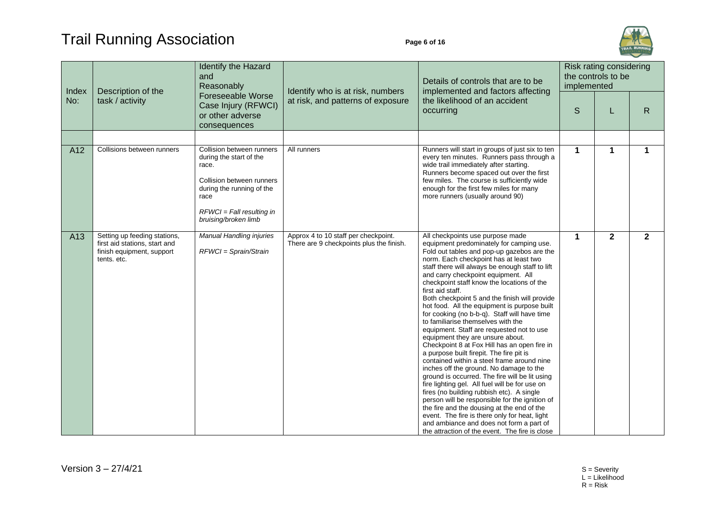## Trail Running Association **Page 6 of 16**



| Index | Description of the                                                                                        | Identify the Hazard<br>and<br>Reasonably<br>Foreseeable Worse<br>Case Injury (RFWCI)<br>or other adverse<br>consequences                                                               | Identify who is at risk, numbers<br>at risk, and patterns of exposure            | Details of controls that are to be<br>implemented and factors affecting                                                                                                                                                                                                                                                                                                                                                                                                                                                                                                                                                                                                                                                                                                                                                                                                                                                                                                                                                                                                                                                                                                                       | Risk rating considering<br>the controls to be<br>implemented |              |              |
|-------|-----------------------------------------------------------------------------------------------------------|----------------------------------------------------------------------------------------------------------------------------------------------------------------------------------------|----------------------------------------------------------------------------------|-----------------------------------------------------------------------------------------------------------------------------------------------------------------------------------------------------------------------------------------------------------------------------------------------------------------------------------------------------------------------------------------------------------------------------------------------------------------------------------------------------------------------------------------------------------------------------------------------------------------------------------------------------------------------------------------------------------------------------------------------------------------------------------------------------------------------------------------------------------------------------------------------------------------------------------------------------------------------------------------------------------------------------------------------------------------------------------------------------------------------------------------------------------------------------------------------|--------------------------------------------------------------|--------------|--------------|
| No:   | task / activity                                                                                           |                                                                                                                                                                                        |                                                                                  | the likelihood of an accident<br>occurring                                                                                                                                                                                                                                                                                                                                                                                                                                                                                                                                                                                                                                                                                                                                                                                                                                                                                                                                                                                                                                                                                                                                                    | S                                                            | L            | R            |
|       |                                                                                                           |                                                                                                                                                                                        |                                                                                  |                                                                                                                                                                                                                                                                                                                                                                                                                                                                                                                                                                                                                                                                                                                                                                                                                                                                                                                                                                                                                                                                                                                                                                                               |                                                              |              |              |
| A12   | Collisions between runners                                                                                | Collision between runners<br>during the start of the<br>race.<br>Collision between runners<br>during the running of the<br>race<br>$RFWCI = Fall resulting in$<br>bruising/broken limb | All runners                                                                      | Runners will start in groups of just six to ten<br>every ten minutes. Runners pass through a<br>wide trail immediately after starting.<br>Runners become spaced out over the first<br>few miles. The course is sufficiently wide<br>enough for the first few miles for many<br>more runners (usually around 90)                                                                                                                                                                                                                                                                                                                                                                                                                                                                                                                                                                                                                                                                                                                                                                                                                                                                               | 1                                                            | $\mathbf 1$  | 1            |
| A13   | Setting up feeding stations,<br>first aid stations, start and<br>finish equipment, support<br>tents. etc. | <b>Manual Handling injuries</b><br>RFWCI = Sprain/Strain                                                                                                                               | Approx 4 to 10 staff per checkpoint.<br>There are 9 checkpoints plus the finish. | All checkpoints use purpose made<br>equipment predominately for camping use.<br>Fold out tables and pop-up gazebos are the<br>norm. Each checkpoint has at least two<br>staff there will always be enough staff to lift<br>and carry checkpoint equipment. All<br>checkpoint staff know the locations of the<br>first aid staff.<br>Both checkpoint 5 and the finish will provide<br>hot food. All the equipment is purpose built<br>for cooking (no b-b-q). Staff will have time<br>to familiarise themselves with the<br>equipment. Staff are requested not to use<br>equipment they are unsure about.<br>Checkpoint 8 at Fox Hill has an open fire in<br>a purpose built firepit. The fire pit is<br>contained within a steel frame around nine<br>inches off the ground. No damage to the<br>ground is occurred. The fire will be lit using<br>fire lighting gel. All fuel will be for use on<br>fires (no building rubbish etc). A single<br>person will be responsible for the ignition of<br>the fire and the dousing at the end of the<br>event. The fire is there only for heat, light<br>and ambiance and does not form a part of<br>the attraction of the event. The fire is close | 1                                                            | $\mathbf{2}$ | $\mathbf{2}$ |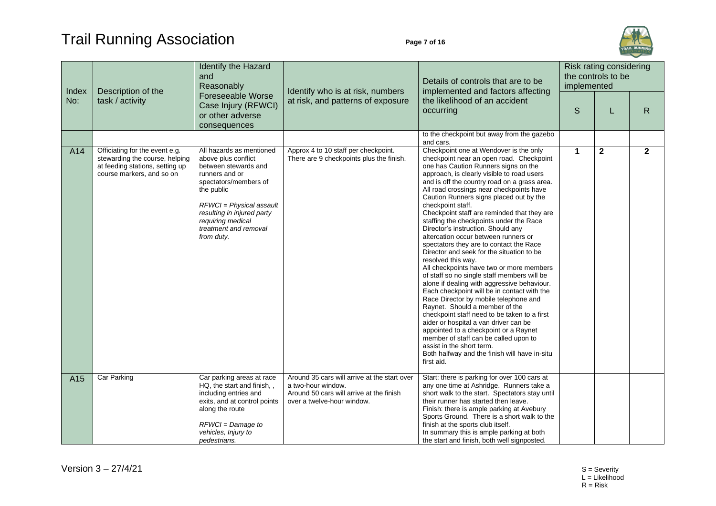## Trail Running Association **Page 7 of 16**



| Index | Description of the                                                                                                               | Identify the Hazard<br>and<br>Reasonably                                                                                                                                                                                                               | Identify who is at risk, numbers                                                                                                             | Details of controls that are to be<br>implemented and factors affecting                                                                                                                                                                                                                                                                                                                                                                                                                                                                                                                                                                                                                                                                                                                                                                                                                                                                                                                                                                                                                                                                                               | Risk rating considering<br>the controls to be<br>implemented |              |              |
|-------|----------------------------------------------------------------------------------------------------------------------------------|--------------------------------------------------------------------------------------------------------------------------------------------------------------------------------------------------------------------------------------------------------|----------------------------------------------------------------------------------------------------------------------------------------------|-----------------------------------------------------------------------------------------------------------------------------------------------------------------------------------------------------------------------------------------------------------------------------------------------------------------------------------------------------------------------------------------------------------------------------------------------------------------------------------------------------------------------------------------------------------------------------------------------------------------------------------------------------------------------------------------------------------------------------------------------------------------------------------------------------------------------------------------------------------------------------------------------------------------------------------------------------------------------------------------------------------------------------------------------------------------------------------------------------------------------------------------------------------------------|--------------------------------------------------------------|--------------|--------------|
| No:   | task / activity                                                                                                                  | Foreseeable Worse<br>Case Injury (RFWCI)<br>or other adverse<br>consequences                                                                                                                                                                           | at risk, and patterns of exposure                                                                                                            | the likelihood of an accident<br>occurring                                                                                                                                                                                                                                                                                                                                                                                                                                                                                                                                                                                                                                                                                                                                                                                                                                                                                                                                                                                                                                                                                                                            | S                                                            | L            | $\mathsf{R}$ |
|       |                                                                                                                                  |                                                                                                                                                                                                                                                        |                                                                                                                                              | to the checkpoint but away from the gazebo<br>and cars.                                                                                                                                                                                                                                                                                                                                                                                                                                                                                                                                                                                                                                                                                                                                                                                                                                                                                                                                                                                                                                                                                                               |                                                              |              |              |
| A14   | Officiating for the event e.g.<br>stewarding the course, helping<br>at feeding stations, setting up<br>course markers, and so on | All hazards as mentioned<br>above plus conflict<br>between stewards and<br>runners and or<br>spectators/members of<br>the public<br>RFWCI = Physical assault<br>resulting in injured party<br>requiring medical<br>treatment and removal<br>from duty. | Approx 4 to 10 staff per checkpoint.<br>There are 9 checkpoints plus the finish.                                                             | Checkpoint one at Wendover is the only<br>checkpoint near an open road. Checkpoint<br>one has Caution Runners signs on the<br>approach, is clearly visible to road users<br>and is off the country road on a grass area.<br>All road crossings near checkpoints have<br>Caution Runners signs placed out by the<br>checkpoint staff.<br>Checkpoint staff are reminded that they are<br>staffing the checkpoints under the Race<br>Director's instruction. Should any<br>altercation occur between runners or<br>spectators they are to contact the Race<br>Director and seek for the situation to be<br>resolved this way.<br>All checkpoints have two or more members<br>of staff so no single staff members will be<br>alone if dealing with aggressive behaviour.<br>Each checkpoint will be in contact with the<br>Race Director by mobile telephone and<br>Raynet. Should a member of the<br>checkpoint staff need to be taken to a first<br>aider or hospital a van driver can be<br>appointed to a checkpoint or a Raynet<br>member of staff can be called upon to<br>assist in the short term.<br>Both halfway and the finish will have in-situ<br>first aid. | $\mathbf 1$                                                  | $\mathbf{2}$ | $\mathbf{2}$ |
| A15   | Car Parking                                                                                                                      | Car parking areas at race<br>HQ, the start and finish,,<br>including entries and<br>exits, and at control points<br>along the route<br>$RFWCI = Damage to$<br>vehicles, Injury to<br>pedestrians.                                                      | Around 35 cars will arrive at the start over<br>a two-hour window.<br>Around 50 cars will arrive at the finish<br>over a twelve-hour window. | Start: there is parking for over 100 cars at<br>any one time at Ashridge. Runners take a<br>short walk to the start. Spectators stay until<br>their runner has started then leave.<br>Finish: there is ample parking at Avebury<br>Sports Ground. There is a short walk to the<br>finish at the sports club itself.<br>In summary this is ample parking at both<br>the start and finish, both well signposted.                                                                                                                                                                                                                                                                                                                                                                                                                                                                                                                                                                                                                                                                                                                                                        |                                                              |              |              |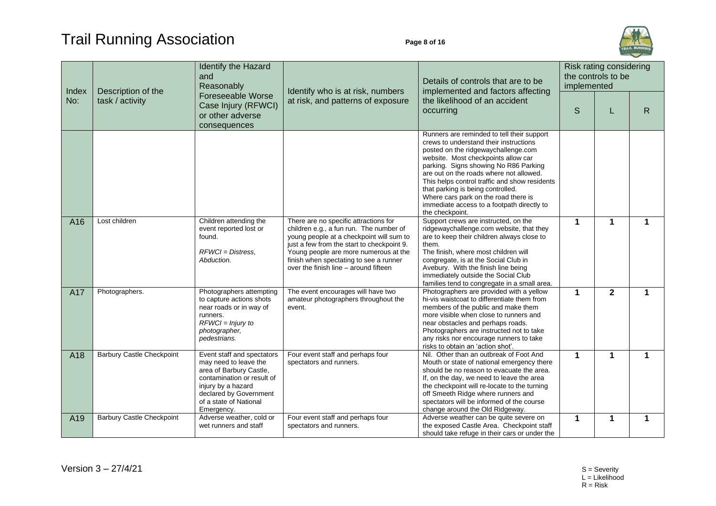

| Index           | Description of the               | Identify the Hazard<br>and<br>Reasonably<br>Foreseeable Worse<br>Case Injury (RFWCI)<br>or other adverse<br>consequences                                                                             | Identify who is at risk, numbers<br>at risk, and patterns of exposure                                                                                                                                                                                                                                  | Details of controls that are to be<br>implemented and factors affecting                                                                                                                                                                                                                                                                                                                                                                               | Risk rating considering<br>the controls to be<br>implemented |              |   |
|-----------------|----------------------------------|------------------------------------------------------------------------------------------------------------------------------------------------------------------------------------------------------|--------------------------------------------------------------------------------------------------------------------------------------------------------------------------------------------------------------------------------------------------------------------------------------------------------|-------------------------------------------------------------------------------------------------------------------------------------------------------------------------------------------------------------------------------------------------------------------------------------------------------------------------------------------------------------------------------------------------------------------------------------------------------|--------------------------------------------------------------|--------------|---|
| No:             | task / activity                  |                                                                                                                                                                                                      |                                                                                                                                                                                                                                                                                                        | the likelihood of an accident<br>occurring                                                                                                                                                                                                                                                                                                                                                                                                            | S                                                            |              | R |
|                 |                                  |                                                                                                                                                                                                      |                                                                                                                                                                                                                                                                                                        | Runners are reminded to tell their support<br>crews to understand their instructions<br>posted on the ridgewaychallenge.com<br>website. Most checkpoints allow car<br>parking. Signs showing No R86 Parking<br>are out on the roads where not allowed.<br>This helps control traffic and show residents<br>that parking is being controlled.<br>Where cars park on the road there is<br>immediate access to a footpath directly to<br>the checkpoint. |                                                              |              |   |
| A <sub>16</sub> | Lost children                    | Children attending the<br>event reported lost or<br>found.<br>$RFWCI = Distress$ .<br>Abduction.                                                                                                     | There are no specific attractions for<br>children e.g., a fun run. The number of<br>young people at a checkpoint will sum to<br>just a few from the start to checkpoint 9.<br>Young people are more numerous at the<br>finish when spectating to see a runner<br>over the finish line – around fifteen | Support crews are instructed, on the<br>ridgewaychallenge.com website, that they<br>are to keep their children always close to<br>them.<br>The finish, where most children will<br>congregate, is at the Social Club in<br>Avebury. With the finish line being<br>immediately outside the Social Club<br>families tend to congregate in a small area.                                                                                                 | 1                                                            | $\mathbf{1}$ | 1 |
| A17             | Photographers.                   | Photographers attempting<br>to capture actions shots<br>near roads or in way of<br>runners.<br>$RFWCI = Injury to$<br>photographer,<br>pedestrians.                                                  | The event encourages will have two<br>amateur photographers throughout the<br>event.                                                                                                                                                                                                                   | Photographers are provided with a yellow<br>hi-vis waistcoat to differentiate them from<br>members of the public and make them<br>more visible when close to runners and<br>near obstacles and perhaps roads.<br>Photographers are instructed not to take<br>any risks nor encourage runners to take<br>risks to obtain an 'action shot'.                                                                                                             | 1                                                            | $\mathbf{2}$ | 1 |
| A18             | <b>Barbury Castle Checkpoint</b> | Event staff and spectators<br>may need to leave the<br>area of Barbury Castle,<br>contamination or result of<br>injury by a hazard<br>declared by Government<br>of a state of National<br>Emergency. | Four event staff and perhaps four<br>spectators and runners.                                                                                                                                                                                                                                           | Nil. Other than an outbreak of Foot And<br>Mouth or state of national emergency there<br>should be no reason to evacuate the area.<br>If, on the day, we need to leave the area<br>the checkpoint will re-locate to the turning<br>off Smeeth Ridge where runners and<br>spectators will be informed of the course<br>change around the Old Ridgeway.                                                                                                 | 1                                                            | $\mathbf 1$  | 1 |
| A19             | <b>Barbury Castle Checkpoint</b> | Adverse weather, cold or<br>wet runners and staff                                                                                                                                                    | Four event staff and perhaps four<br>spectators and runners.                                                                                                                                                                                                                                           | Adverse weather can be quite severe on<br>the exposed Castle Area. Checkpoint staff<br>should take refuge in their cars or under the                                                                                                                                                                                                                                                                                                                  | $\mathbf 1$                                                  | 1            | 1 |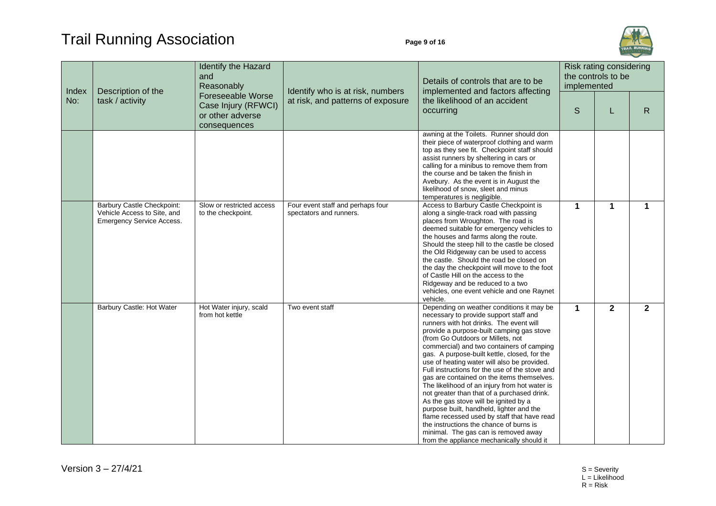

| Index | Description of the<br>task / activity                                                  | Identify the Hazard<br>and<br>Reasonably<br>Foreseeable Worse<br>Case Injury (RFWCI)<br>or other adverse<br>consequences | Identify who is at risk, numbers<br>at risk, and patterns of exposure | Details of controls that are to be<br>implemented and factors affecting<br>the likelihood of an accident<br>occurring                                                                                                                                                                                                                                                                                                                                                                                                                                                                                                                                                                                                                                                                                                            | Risk rating considering<br>the controls to be<br>implemented |             |              |  |
|-------|----------------------------------------------------------------------------------------|--------------------------------------------------------------------------------------------------------------------------|-----------------------------------------------------------------------|----------------------------------------------------------------------------------------------------------------------------------------------------------------------------------------------------------------------------------------------------------------------------------------------------------------------------------------------------------------------------------------------------------------------------------------------------------------------------------------------------------------------------------------------------------------------------------------------------------------------------------------------------------------------------------------------------------------------------------------------------------------------------------------------------------------------------------|--------------------------------------------------------------|-------------|--------------|--|
| No:   |                                                                                        |                                                                                                                          |                                                                       |                                                                                                                                                                                                                                                                                                                                                                                                                                                                                                                                                                                                                                                                                                                                                                                                                                  | S                                                            |             | $\mathsf{R}$ |  |
|       |                                                                                        |                                                                                                                          |                                                                       | awning at the Toilets. Runner should don<br>their piece of waterproof clothing and warm<br>top as they see fit. Checkpoint staff should<br>assist runners by sheltering in cars or<br>calling for a minibus to remove them from<br>the course and be taken the finish in<br>Avebury. As the event is in August the<br>likelihood of snow, sleet and minus<br>temperatures is negligible.                                                                                                                                                                                                                                                                                                                                                                                                                                         |                                                              |             |              |  |
|       | Barbury Castle Checkpoint:<br>Vehicle Access to Site, and<br>Emergency Service Access. | Slow or restricted access<br>to the checkpoint.                                                                          | Four event staff and perhaps four<br>spectators and runners.          | Access to Barbury Castle Checkpoint is<br>along a single-track road with passing<br>places from Wroughton. The road is<br>deemed suitable for emergency vehicles to<br>the houses and farms along the route.<br>Should the steep hill to the castle be closed<br>the Old Ridgeway can be used to access<br>the castle. Should the road be closed on<br>the day the checkpoint will move to the foot<br>of Castle Hill on the access to the<br>Ridgeway and be reduced to a two<br>vehicles, one event vehicle and one Raynet<br>vehicle.                                                                                                                                                                                                                                                                                         | 1                                                            | $\mathbf 1$ | 1            |  |
|       | Barbury Castle: Hot Water                                                              | Hot Water injury, scald<br>from hot kettle                                                                               | Two event staff                                                       | Depending on weather conditions it may be<br>necessary to provide support staff and<br>runners with hot drinks. The event will<br>provide a purpose-built camping gas stove<br>(from Go Outdoors or Millets, not<br>commercial) and two containers of camping<br>gas. A purpose-built kettle, closed, for the<br>use of heating water will also be provided.<br>Full instructions for the use of the stove and<br>gas are contained on the items themselves.<br>The likelihood of an injury from hot water is<br>not greater than that of a purchased drink.<br>As the gas stove will be ignited by a<br>purpose built, handheld, lighter and the<br>flame recessed used by staff that have read<br>the instructions the chance of burns is<br>minimal. The gas can is removed away<br>from the appliance mechanically should it | 1                                                            | $\mathbf 2$ | $\mathbf{2}$ |  |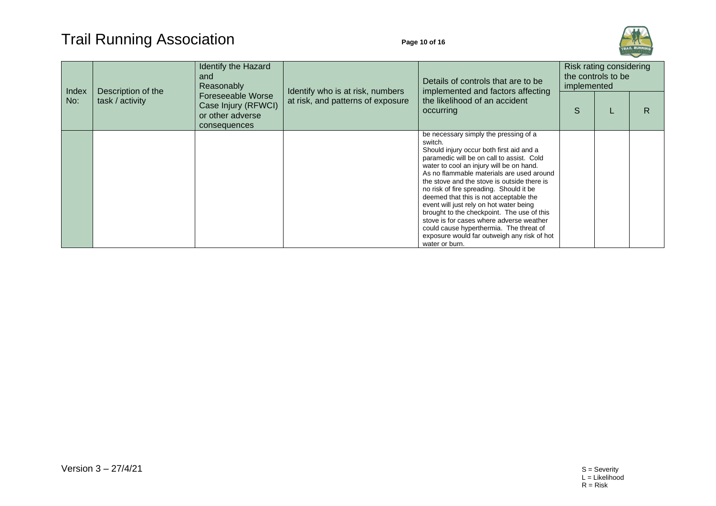

| Index<br>No: | Description of the<br>task / activity | Identify the Hazard<br>and<br>Reasonably<br><b>Foreseeable Worse</b><br>Case Injury (RFWCI)<br>or other adverse<br>consequences | Identify who is at risk, numbers<br>at risk, and patterns of exposure | Details of controls that are to be<br>implemented and factors affecting<br>the likelihood of an accident<br>occurring                                                                                                                                                                                                                                                                                                                                                                                                                                                                                                   | Risk rating considering<br>the controls to be<br>implemented |  |   |
|--------------|---------------------------------------|---------------------------------------------------------------------------------------------------------------------------------|-----------------------------------------------------------------------|-------------------------------------------------------------------------------------------------------------------------------------------------------------------------------------------------------------------------------------------------------------------------------------------------------------------------------------------------------------------------------------------------------------------------------------------------------------------------------------------------------------------------------------------------------------------------------------------------------------------------|--------------------------------------------------------------|--|---|
|              |                                       |                                                                                                                                 |                                                                       |                                                                                                                                                                                                                                                                                                                                                                                                                                                                                                                                                                                                                         | S                                                            |  | R |
|              |                                       |                                                                                                                                 |                                                                       | be necessary simply the pressing of a<br>switch.<br>Should injury occur both first aid and a<br>paramedic will be on call to assist. Cold<br>water to cool an injury will be on hand.<br>As no flammable materials are used around<br>the stove and the stove is outside there is<br>no risk of fire spreading. Should it be<br>deemed that this is not acceptable the<br>event will just rely on hot water being<br>brought to the checkpoint. The use of this<br>stove is for cases where adverse weather<br>could cause hyperthermia. The threat of<br>exposure would far outweigh any risk of hot<br>water or burn. |                                                              |  |   |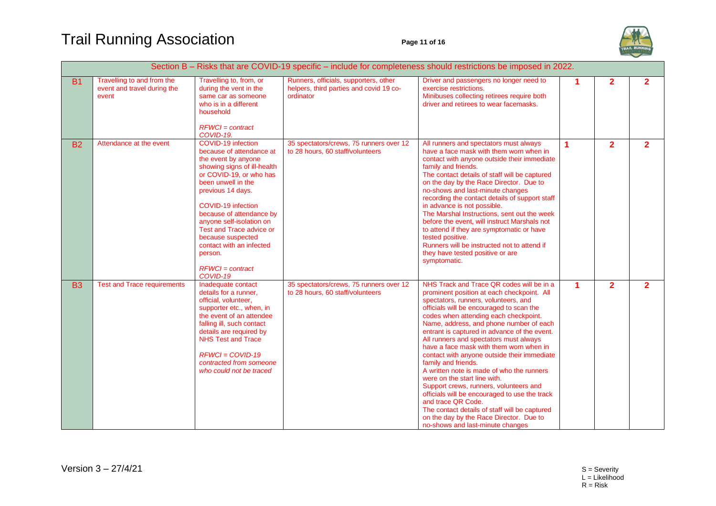## Trail Running Association **Page 11 of 16**



|           |                                                                    |                                                                                                                                                                                                                                                                                                                                                                                    |                                                                                               | Section B - Risks that are COVID-19 specific - include for completeness should restrictions be imposed in 2022.                                                                                                                                                                                                                                                                                                                                                                                                                                                                                                                                                                                                                                                                                          |                      |                |                |
|-----------|--------------------------------------------------------------------|------------------------------------------------------------------------------------------------------------------------------------------------------------------------------------------------------------------------------------------------------------------------------------------------------------------------------------------------------------------------------------|-----------------------------------------------------------------------------------------------|----------------------------------------------------------------------------------------------------------------------------------------------------------------------------------------------------------------------------------------------------------------------------------------------------------------------------------------------------------------------------------------------------------------------------------------------------------------------------------------------------------------------------------------------------------------------------------------------------------------------------------------------------------------------------------------------------------------------------------------------------------------------------------------------------------|----------------------|----------------|----------------|
| <b>B1</b> | Travelling to and from the<br>event and travel during the<br>event | Travelling to, from, or<br>during the vent in the<br>same car as someone<br>who is in a different<br>household<br>$RFWCI = contract$<br>COVID-19.                                                                                                                                                                                                                                  | Runners, officials, supporters, other<br>helpers, third parties and covid 19 co-<br>ordinator | Driver and passengers no longer need to<br>exercise restrictions.<br>Minibuses collecting retirees require both<br>driver and retirees to wear facemasks.                                                                                                                                                                                                                                                                                                                                                                                                                                                                                                                                                                                                                                                | $\blacktriangleleft$ | $\mathbf{2}$   | $\mathbf{2}$   |
| <b>B2</b> | Attendance at the event                                            | COVID-19 infection<br>because of attendance at<br>the event by anyone<br>showing signs of ill-health<br>or COVID-19, or who has<br>been unwell in the<br>previous 14 days.<br>COVID-19 infection<br>because of attendance by<br>anyone self-isolation on<br>Test and Trace advice or<br>because suspected<br>contact with an infected<br>person.<br>$RFWCI = contract$<br>COVID-19 | 35 spectators/crews, 75 runners over 12<br>to 28 hours, 60 staff/volunteers                   | All runners and spectators must always<br>have a face mask with them worn when in<br>contact with anyone outside their immediate<br>family and friends.<br>The contact details of staff will be captured<br>on the day by the Race Director. Due to<br>no-shows and last-minute changes<br>recording the contact details of support staff<br>in advance is not possible.<br>The Marshal Instructions, sent out the week<br>before the event, will instruct Marshals not<br>to attend if they are symptomatic or have<br>tested positive.<br>Runners will be instructed not to attend if<br>they have tested positive or are<br>symptomatic.                                                                                                                                                              | 1                    | $\overline{2}$ | $\overline{2}$ |
| <b>B3</b> | <b>Test and Trace requirements</b>                                 | Inadequate contact<br>details for a runner,<br>official, volunteer,<br>supporter etc., when, in<br>the event of an attendee<br>falling ill, such contact<br>details are required by<br><b>NHS Test and Trace</b><br>$RFWCI = COVID-19$<br>contracted from someone<br>who could not be traced                                                                                       | 35 spectators/crews, 75 runners over 12<br>to 28 hours, 60 staff/volunteers                   | NHS Track and Trace QR codes will be in a<br>prominent position at each checkpoint. All<br>spectators, runners, volunteers, and<br>officials will be encouraged to scan the<br>codes when attending each checkpoint.<br>Name, address, and phone number of each<br>entrant is captured in advance of the event.<br>All runners and spectators must always<br>have a face mask with them worn when in<br>contact with anyone outside their immediate<br>family and friends.<br>A written note is made of who the runners<br>were on the start line with.<br>Support crews, runners, volunteers and<br>officials will be encouraged to use the track<br>and trace QR Code.<br>The contact details of staff will be captured<br>on the day by the Race Director. Due to<br>no-shows and last-minute changes | $\blacktriangleleft$ | $\overline{2}$ | $\overline{2}$ |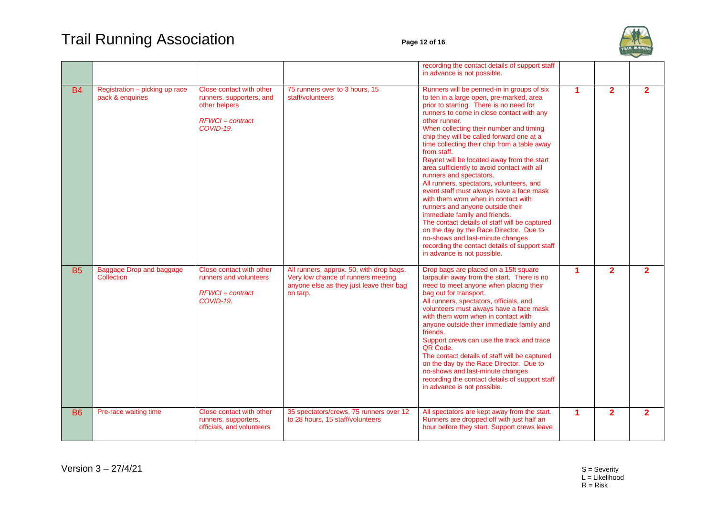## Trail Running Association **Page 12 of 16**



|           |                                                    |                                                                                                          |                                                                                                                                        | recording the contact details of support staff<br>in advance is not possible.                                                                                                                                                                                                                                                                                                                                                                                                                                                                                                                                                                                                                                                                                                                                                                                                                       |                      |                |                |
|-----------|----------------------------------------------------|----------------------------------------------------------------------------------------------------------|----------------------------------------------------------------------------------------------------------------------------------------|-----------------------------------------------------------------------------------------------------------------------------------------------------------------------------------------------------------------------------------------------------------------------------------------------------------------------------------------------------------------------------------------------------------------------------------------------------------------------------------------------------------------------------------------------------------------------------------------------------------------------------------------------------------------------------------------------------------------------------------------------------------------------------------------------------------------------------------------------------------------------------------------------------|----------------------|----------------|----------------|
| <b>B4</b> | Registration - picking up race<br>pack & enquiries | Close contact with other<br>runners, supporters, and<br>other helpers<br>$RFWCI = contract$<br>COVID-19. | 75 runners over to 3 hours, 15<br>staff/volunteers                                                                                     | Runners will be penned-in in groups of six<br>to ten in a large open, pre-marked, area<br>prior to starting. There is no need for<br>runners to come in close contact with any<br>other runner.<br>When collecting their number and timing<br>chip they will be called forward one at a<br>time collecting their chip from a table away<br>from staff.<br>Raynet will be located away from the start<br>area sufficiently to avoid contact with all<br>runners and spectators.<br>All runners, spectators, volunteers, and<br>event staff must always have a face mask<br>with them worn when in contact with<br>runners and anyone outside their<br>immediate family and friends.<br>The contact details of staff will be captured<br>on the day by the Race Director. Due to<br>no-shows and last-minute changes<br>recording the contact details of support staff<br>in advance is not possible. | $\blacktriangleleft$ | $\overline{2}$ | $\overline{2}$ |
| <b>B5</b> | Baggage Drop and baggage<br>Collection             | Close contact with other<br>runners and volunteers<br>$RFWCI = contract$<br>COVID-19.                    | All runners, approx. 50, with drop bags.<br>Very low chance of runners meeting<br>anyone else as they just leave their bag<br>on tarp. | Drop bags are placed on a 15ft square<br>tarpaulin away from the start. There is no<br>need to meet anyone when placing their<br>bag out for transport.<br>All runners, spectators, officials, and<br>volunteers must always have a face mask<br>with them worn when in contact with<br>anyone outside their immediate family and<br>friends.<br>Support crews can use the track and trace<br>QR Code.<br>The contact details of staff will be captured<br>on the day by the Race Director. Due to<br>no-shows and last-minute changes<br>recording the contact details of support staff<br>in advance is not possible.                                                                                                                                                                                                                                                                             | $\blacktriangleleft$ | $\overline{2}$ | $\overline{2}$ |
| <b>B6</b> | Pre-race waiting time                              | Close contact with other<br>runners, supporters,<br>officials, and volunteers                            | 35 spectators/crews, 75 runners over 12<br>to 28 hours, 15 staff/volunteers                                                            | All spectators are kept away from the start.<br>Runners are dropped off with just half an<br>hour before they start. Support crews leave                                                                                                                                                                                                                                                                                                                                                                                                                                                                                                                                                                                                                                                                                                                                                            | $\blacktriangleleft$ | $\overline{2}$ | $\overline{2}$ |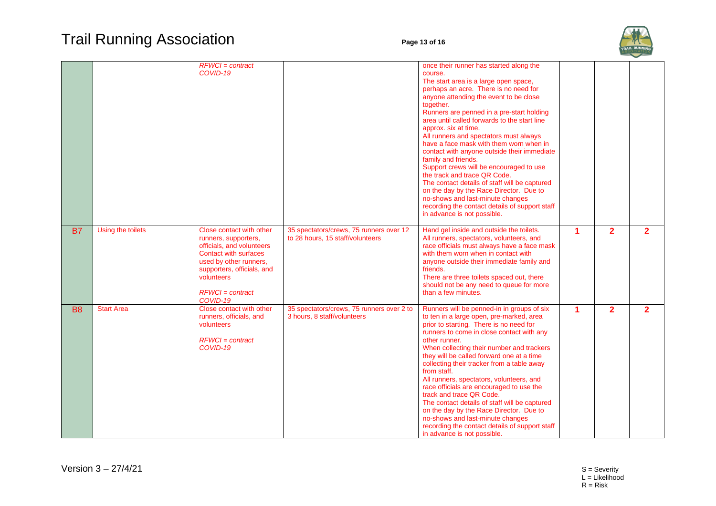

|           |                   | $RFWCI = contract$<br>COVID-19                                                                                                                                                                                 |                                                                             | once their runner has started along the<br>course.<br>The start area is a large open space,<br>perhaps an acre. There is no need for<br>anyone attending the event to be close<br>together.<br>Runners are penned in a pre-start holding<br>area until called forwards to the start line<br>approx. six at time.<br>All runners and spectators must always<br>have a face mask with them worn when in<br>contact with anyone outside their immediate<br>family and friends.<br>Support crews will be encouraged to use<br>the track and trace QR Code.<br>The contact details of staff will be captured<br>on the day by the Race Director. Due to<br>no-shows and last-minute changes<br>recording the contact details of support staff<br>in advance is not possible. |                      |                |                |
|-----------|-------------------|----------------------------------------------------------------------------------------------------------------------------------------------------------------------------------------------------------------|-----------------------------------------------------------------------------|-------------------------------------------------------------------------------------------------------------------------------------------------------------------------------------------------------------------------------------------------------------------------------------------------------------------------------------------------------------------------------------------------------------------------------------------------------------------------------------------------------------------------------------------------------------------------------------------------------------------------------------------------------------------------------------------------------------------------------------------------------------------------|----------------------|----------------|----------------|
| <b>B7</b> | Using the toilets | Close contact with other<br>runners, supporters,<br>officials, and volunteers<br>Contact with surfaces<br>used by other runners,<br>supporters, officials, and<br>volunteers<br>$RFWCI = contract$<br>COVID-19 | 35 spectators/crews, 75 runners over 12<br>to 28 hours, 15 staff/volunteers | Hand gel inside and outside the toilets.<br>All runners, spectators, volunteers, and<br>race officials must always have a face mask<br>with them worn when in contact with<br>anyone outside their immediate family and<br>friends.<br>There are three toilets spaced out, there<br>should not be any need to queue for more<br>than a few minutes.                                                                                                                                                                                                                                                                                                                                                                                                                     | $\blacktriangleleft$ | $\overline{2}$ | $\overline{2}$ |
| <b>B8</b> | <b>Start Area</b> | Close contact with other<br>runners, officials, and<br>volunteers<br>$RFWCI = contract$<br>COVID-19                                                                                                            | 35 spectators/crews, 75 runners over 2 to<br>3 hours, 8 staff/volunteers    | Runners will be penned-in in groups of six<br>to ten in a large open, pre-marked, area<br>prior to starting. There is no need for<br>runners to come in close contact with any<br>other runner.<br>When collecting their number and trackers<br>they will be called forward one at a time<br>collecting their tracker from a table away<br>from staff.<br>All runners, spectators, volunteers, and<br>race officials are encouraged to use the<br>track and trace QR Code.<br>The contact details of staff will be captured<br>on the day by the Race Director. Due to<br>no-shows and last-minute changes<br>recording the contact details of support staff<br>in advance is not possible.                                                                             | $\blacktriangleleft$ | $\overline{2}$ | $\mathbf{2}$   |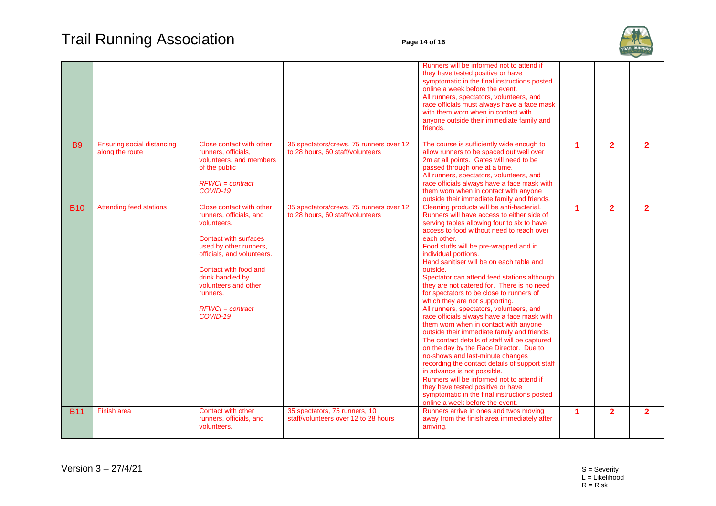

|            |                                                      |                                                                                                                                                                                                                                                                               |                                                                             | Runners will be informed not to attend if<br>they have tested positive or have<br>symptomatic in the final instructions posted<br>online a week before the event.<br>All runners, spectators, volunteers, and<br>race officials must always have a face mask<br>with them worn when in contact with<br>anyone outside their immediate family and<br>friends.                                                                                                                                                                                                                                                                                                                                                                                                                                                                                                                                                                                                                                                                                                                     |   |                |                |
|------------|------------------------------------------------------|-------------------------------------------------------------------------------------------------------------------------------------------------------------------------------------------------------------------------------------------------------------------------------|-----------------------------------------------------------------------------|----------------------------------------------------------------------------------------------------------------------------------------------------------------------------------------------------------------------------------------------------------------------------------------------------------------------------------------------------------------------------------------------------------------------------------------------------------------------------------------------------------------------------------------------------------------------------------------------------------------------------------------------------------------------------------------------------------------------------------------------------------------------------------------------------------------------------------------------------------------------------------------------------------------------------------------------------------------------------------------------------------------------------------------------------------------------------------|---|----------------|----------------|
| <b>B9</b>  | <b>Ensuring social distancing</b><br>along the route | Close contact with other<br>runners, officials,<br>volunteers, and members<br>of the public<br>$RFWCI = contract$<br>COVID-19                                                                                                                                                 | 35 spectators/crews, 75 runners over 12<br>to 28 hours, 60 staff/volunteers | The course is sufficiently wide enough to<br>allow runners to be spaced out well over<br>2m at all points. Gates will need to be<br>passed through one at a time.<br>All runners, spectators, volunteers, and<br>race officials always have a face mask with<br>them worn when in contact with anyone<br>outside their immediate family and friends.                                                                                                                                                                                                                                                                                                                                                                                                                                                                                                                                                                                                                                                                                                                             |   | $\overline{2}$ | $\overline{2}$ |
| <b>B10</b> | <b>Attending feed stations</b>                       | Close contact with other<br>runners, officials, and<br>volunteers.<br><b>Contact with surfaces</b><br>used by other runners,<br>officials, and volunteers.<br>Contact with food and<br>drink handled by<br>volunteers and other<br>runners.<br>$RFWCI = contract$<br>COVID-19 | 35 spectators/crews, 75 runners over 12<br>to 28 hours, 60 staff/volunteers | Cleaning products will be anti-bacterial.<br>Runners will have access to either side of<br>serving tables allowing four to six to have<br>access to food without need to reach over<br>each other.<br>Food stuffs will be pre-wrapped and in<br>individual portions.<br>Hand sanitiser will be on each table and<br>outside.<br>Spectator can attend feed stations although<br>they are not catered for. There is no need<br>for spectators to be close to runners of<br>which they are not supporting.<br>All runners, spectators, volunteers, and<br>race officials always have a face mask with<br>them worn when in contact with anyone<br>outside their immediate family and friends.<br>The contact details of staff will be captured<br>on the day by the Race Director. Due to<br>no-shows and last-minute changes<br>recording the contact details of support staff<br>in advance is not possible.<br>Runners will be informed not to attend if<br>they have tested positive or have<br>symptomatic in the final instructions posted<br>online a week before the event. | 1 | $\overline{2}$ | $\overline{2}$ |
| <b>B11</b> | <b>Finish area</b>                                   | <b>Contact with other</b><br>runners, officials, and<br>volunteers.                                                                                                                                                                                                           | 35 spectators, 75 runners, 10<br>staff/volunteers over 12 to 28 hours       | Runners arrive in ones and twos moving<br>away from the finish area immediately after<br>arriving.                                                                                                                                                                                                                                                                                                                                                                                                                                                                                                                                                                                                                                                                                                                                                                                                                                                                                                                                                                               | 1 | $\overline{2}$ | $\overline{2}$ |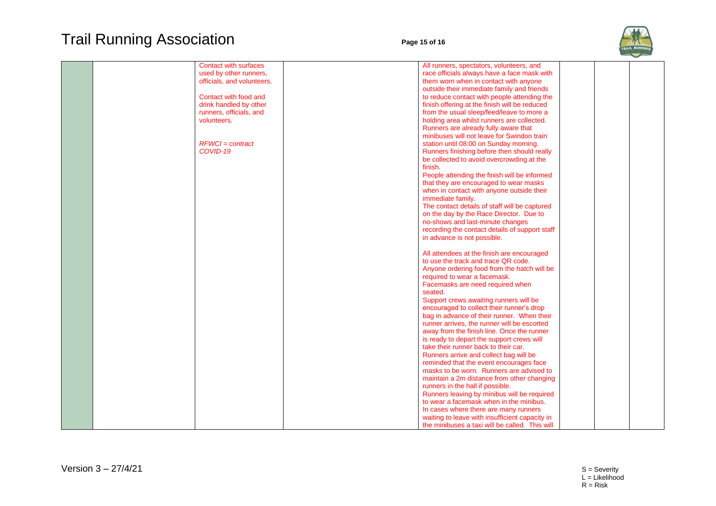## Trail Running Association **Page 15 of 16**



| <b>Contact with surfaces</b> | All runners, spectators, volunteers, and       |  |
|------------------------------|------------------------------------------------|--|
| used by other runners,       | race officials always have a face mask with    |  |
| officials, and volunteers.   | them worn when in contact with anyone          |  |
|                              | outside their immediate family and friends     |  |
|                              |                                                |  |
| Contact with food and        | to reduce contact with people attending the    |  |
| drink handled by other       | finish offering at the finish will be reduced  |  |
| runners, officials, and      | from the usual sleep/feed/leave to more a      |  |
| volunteers.                  | holding area whilst runners are collected.     |  |
|                              | Runners are already fully aware that           |  |
|                              | minibuses will not leave for Swindon train     |  |
| $RFWCI = contract$           | station until 08:00 on Sunday morning.         |  |
| COVID-19                     | Runners finishing before then should really    |  |
|                              |                                                |  |
|                              | be collected to avoid overcrowding at the      |  |
|                              | finish.                                        |  |
|                              | People attending the finish will be informed   |  |
|                              | that they are encouraged to wear masks         |  |
|                              | when in contact with anyone outside their      |  |
|                              | immediate family.                              |  |
|                              | The contact details of staff will be captured  |  |
|                              | on the day by the Race Director. Due to        |  |
|                              |                                                |  |
|                              | no-shows and last-minute changes               |  |
|                              | recording the contact details of support staff |  |
|                              | in advance is not possible.                    |  |
|                              |                                                |  |
|                              | All attendees at the finish are encouraged     |  |
|                              | to use the track and trace QR code.            |  |
|                              | Anyone ordering food from the hatch will be    |  |
|                              | required to wear a facemask.                   |  |
|                              | Facemasks are need required when               |  |
|                              |                                                |  |
|                              | seated.                                        |  |
|                              | Support crews awaiting runners will be         |  |
|                              | encouraged to collect their runner's drop      |  |
|                              | bag in advance of their runner. When their     |  |
|                              | runner arrives, the runner will be escorted    |  |
|                              | away from the finish line. Once the runner     |  |
|                              | is ready to depart the support crews will      |  |
|                              | take their runner back to their car.           |  |
|                              | Runners arrive and collect bag will be         |  |
|                              |                                                |  |
|                              | reminded that the event encourages face        |  |
|                              | masks to be worn. Runners are advised to       |  |
|                              | maintain a 2m distance from other changing     |  |
|                              | runners in the hall if possible.               |  |
|                              | Runners leaving by minibus will be required    |  |
|                              | to wear a facemask when in the minibus.        |  |
|                              | In cases where there are many runners          |  |
|                              | waiting to leave with insufficient capacity in |  |
|                              | the minibuses a taxi will be called. This will |  |
|                              |                                                |  |